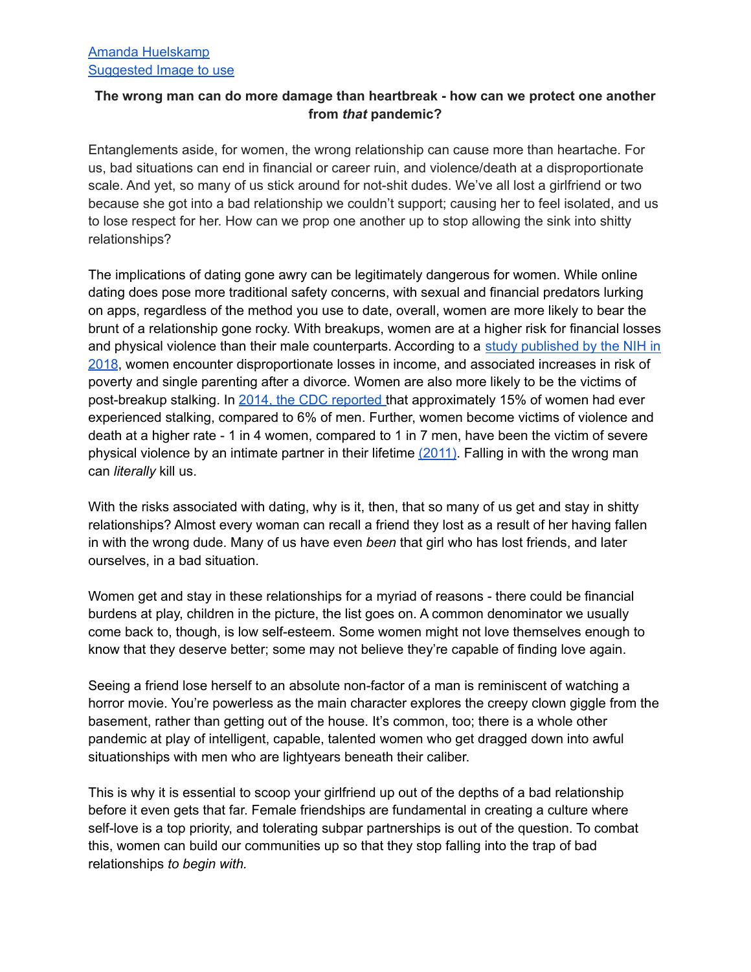## **The wrong man can do more damage than heartbreak - how can we protect one another from** *that* **pandemic?**

Entanglements aside, for women, the wrong relationship can cause more than heartache. For us, bad situations can end in financial or career ruin, and violence/death at a disproportionate scale. And yet, so many of us stick around for not-shit dudes. We've all lost a girlfriend or two because she got into a bad relationship we couldn't support; causing her to feel isolated, and us to lose respect for her. How can we prop one another up to stop allowing the sink into shitty relationships?

The implications of dating gone awry can be legitimately dangerous for women. While online dating does pose more traditional safety concerns, with sexual and financial predators lurking on apps, regardless of the method you use to date, overall, women are more likely to bear the brunt of a relationship gone rocky. With breakups, women are at a higher risk for financial losses and physical violence than their male counterparts. According to a study [published](https://www.ncbi.nlm.nih.gov/pmc/articles/PMC5992251/) by the NIH in [2018](https://www.ncbi.nlm.nih.gov/pmc/articles/PMC5992251/), women encounter disproportionate losses in income, and associated increases in risk of poverty and single parenting after a divorce. Women are also more likely to be the victims of post-breakup stalking. In 2014, the CDC [reported](https://www.cdc.gov/mmwr/preview/mmwrhtml/ss6308a1.htm) that approximately 15% of women had ever experienced stalking, compared to 6% of men. Further, women become victims of violence and death at a higher rate - 1 in 4 women, compared to 1 in 7 men, have been the victim of severe physical violence by an intimate partner in their lifetime [\(2011\)](https://www.cdc.gov/violenceprevention/pdf/nisvs_report2010-a.pdf). Falling in with the wrong man can *literally* kill us.

With the risks associated with dating, why is it, then, that so many of us get and stay in shitty relationships? Almost every woman can recall a friend they lost as a result of her having fallen in with the wrong dude. Many of us have even *been* that girl who has lost friends, and later ourselves, in a bad situation.

Women get and stay in these relationships for a myriad of reasons - there could be financial burdens at play, children in the picture, the list goes on. A common denominator we usually come back to, though, is low self-esteem. Some women might not love themselves enough to know that they deserve better; some may not believe they're capable of finding love again.

Seeing a friend lose herself to an absolute non-factor of a man is reminiscent of watching a horror movie. You're powerless as the main character explores the creepy clown giggle from the basement, rather than getting out of the house. It's common, too; there is a whole other pandemic at play of intelligent, capable, talented women who get dragged down into awful situationships with men who are lightyears beneath their caliber.

This is why it is essential to scoop your girlfriend up out of the depths of a bad relationship before it even gets that far. Female friendships are fundamental in creating a culture where self-love is a top priority, and tolerating subpar partnerships is out of the question. To combat this, women can build our communities up so that they stop falling into the trap of bad relationships *to begin with.*